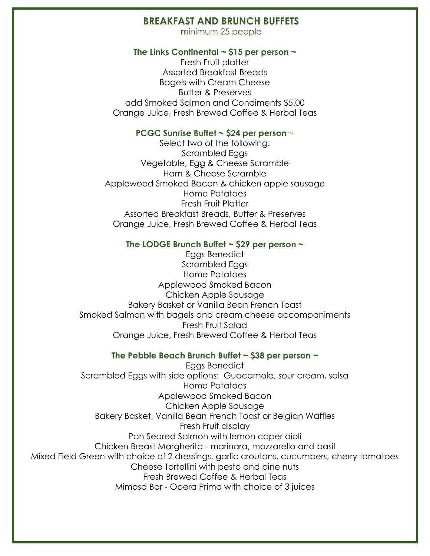## **BREAKFAST AND BRUNCH BUFFETS**

minimum 25 people

#### **The Links Continental ~ \$15 per person ~**

Fresh Fruit platter Assorted Breakfast Breads Bagels with Cream Cheese Butter & Preserves add Smoked Salmon and Condiments \$5.00 Orange Juice, Fresh Brewed Coffee & Herbal Teas

### **PCGC Sunrise Buffet ~ \$24 per person** ~

Select two of the following: Scrambled Eggs Vegetable, Egg & Cheese Scramble Ham & Cheese Scramble Applewood Smoked Bacon & chicken apple sausage Home Potatoes Fresh Fruit Platter Assorted Breakfast Breads, Butter & Preserves Orange Juice, Fresh Brewed Coffee & Herbal Teas

### **The LODGE Brunch Buffet ~ \$29 per person ~**

Eggs Benedict Scrambled Eggs Home Potatoes Applewood Smoked Bacon Chicken Apple Sausage Bakery Basket or Vanilla Bean French Toast Smoked Salmon with bagels and cream cheese accompaniments Fresh Fruit Salad Orange Juice, Fresh Brewed Coffee & Herbal Teas

### **The Pebble Beach Brunch Buffet ~ \$38 per person ~**

Eggs Benedict Scrambled Eggs with side options: Guacamole, sour cream, salsa Home Potatoes Applewood Smoked Bacon Chicken Apple Sausage Bakery Basket, Vanilla Bean French Toast or Belgian Waffles Fresh Fruit display Pan Seared Salmon with lemon caper aioli Chicken Breast Margherita - marinara, mozzarella and basil Mixed Field Green with choice of 2 dressings, garlic croutons, cucumbers, cherry tomatoes Cheese Tortellini with pesto and pine nuts Fresh Brewed Coffee & Herbal Teas Mimosa Bar - Opera Prima with choice of 3 juices